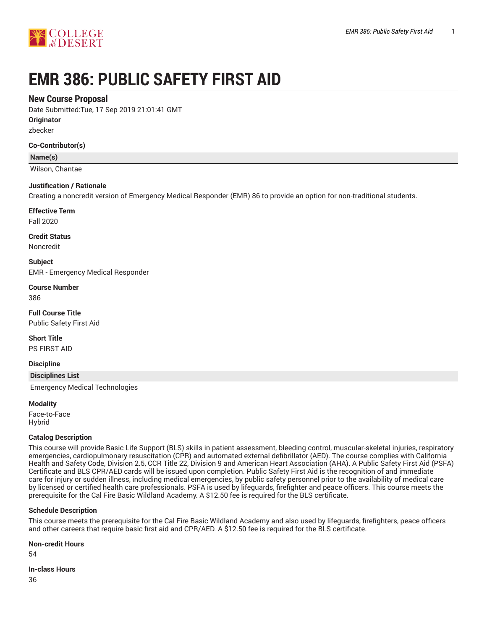

# **EMR 386: PUBLIC SAFETY FIRST AID**

# **New Course Proposal**

Date Submitted:Tue, 17 Sep 2019 21:01:41 GMT

**Originator**

zbecker

#### **Co-Contributor(s)**

**Name(s)**

Wilson, Chantae

#### **Justification / Rationale**

Creating a noncredit version of Emergency Medical Responder (EMR) 86 to provide an option for non-traditional students.

**Effective Term**

Fall 2020

**Credit Status** Noncredit

**Subject**

EMR - Emergency Medical Responder

**Course Number** 386

**Full Course Title** Public Safety First Aid

**Short Title** PS FIRST AID

**Discipline**

**Disciplines List**

Emergency Medical Technologies

**Modality**

Face-to-Face Hybrid

#### **Catalog Description**

This course will provide Basic Life Support (BLS) skills in patient assessment, bleeding control, muscular-skeletal injuries, respiratory emergencies, cardiopulmonary resuscitation (CPR) and automated external defibrillator (AED). The course complies with California Health and Safety Code, Division 2.5, CCR Title 22, Division 9 and American Heart Association (AHA). A Public Safety First Aid (PSFA) Certificate and BLS CPR/AED cards will be issued upon completion. Public Safety First Aid is the recognition of and immediate care for injury or sudden illness, including medical emergencies, by public safety personnel prior to the availability of medical care by licensed or certified health care professionals. PSFA is used by lifeguards, firefighter and peace officers. This course meets the prerequisite for the Cal Fire Basic Wildland Academy. A \$12.50 fee is required for the BLS certificate.

#### **Schedule Description**

This course meets the prerequisite for the Cal Fire Basic Wildland Academy and also used by lifeguards, firefighters, peace officers and other careers that require basic first aid and CPR/AED. A \$12.50 fee is required for the BLS certificate.

#### **Non-credit Hours**

54

**In-class Hours** 36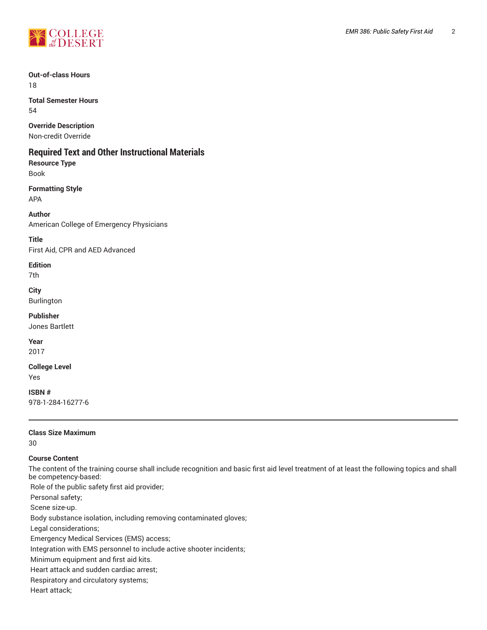

**Out-of-class Hours** 18

**Total Semester Hours** 54

**Override Description**

Non-credit Override

# **Required Text and Other Instructional Materials**

**Resource Type** Book

**Formatting Style**

APA

**Author** American College of Emergency Physicians

**Title** First Aid, CPR and AED Advanced

**Edition**

7th

**City** Burlington

**Publisher** Jones Bartlett

**Year** 2017

**College Level** Yes

**ISBN #** 978-1-284-16277-6

**Class Size Maximum**

30

# **Course Content**

The content of the training course shall include recognition and basic first aid level treatment of at least the following topics and shall be competency-based:

Role of the public safety first aid provider;

Personal safety;

Scene size-up.

Body substance isolation, including removing contaminated gloves;

Legal considerations;

Emergency Medical Services (EMS) access;

Integration with EMS personnel to include active shooter incidents;

Minimum equipment and first aid kits.

Heart attack and sudden cardiac arrest;

Respiratory and circulatory systems;

Heart attack;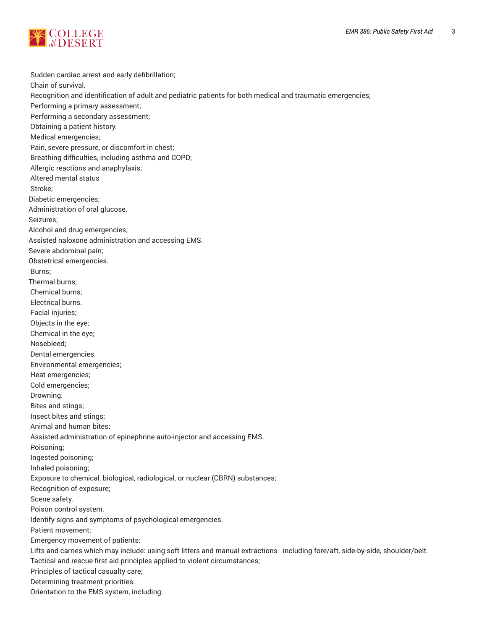

Sudden cardiac arrest and early defibrillation; Chain of survival. Recognition and identification of adult and pediatric patients for both medical and traumatic emergencies; Performing a primary assessment; Performing a secondary assessment; Obtaining a patient history. Medical emergencies; Pain, severe pressure, or discomfort in chest; Breathing difficulties, including asthma and COPD; Allergic reactions and anaphylaxis; Altered mental status Stroke; Diabetic emergencies; Administration of oral glucose. Seizures; Alcohol and drug emergencies; Assisted naloxone administration and accessing EMS. Severe abdominal pain; Obstetrical emergencies. Burns; Thermal burns; Chemical burns; Electrical burns. Facial injuries; Objects in the eye; Chemical in the eye; Nosebleed; Dental emergencies. Environmental emergencies; Heat emergencies; Cold emergencies; Drowning. Bites and stings; Insect bites and stings; Animal and human bites; Assisted administration of epinephrine auto-injector and accessing EMS. Poisoning; Ingested poisoning; Inhaled poisoning; Exposure to chemical, biological, radiological, or nuclear (CBRN) substances; Recognition of exposure; Scene safety. Poison control system. Identify signs and symptoms of psychological emergencies. Patient movement; Emergency movement of patients; Lifts and carries which may include: using soft litters and manual extractions including fore/aft, side-by-side, shoulder/belt. Tactical and rescue first aid principles applied to violent circumstances; Principles of tactical casualty care; Determining treatment priorities. Orientation to the EMS system, including: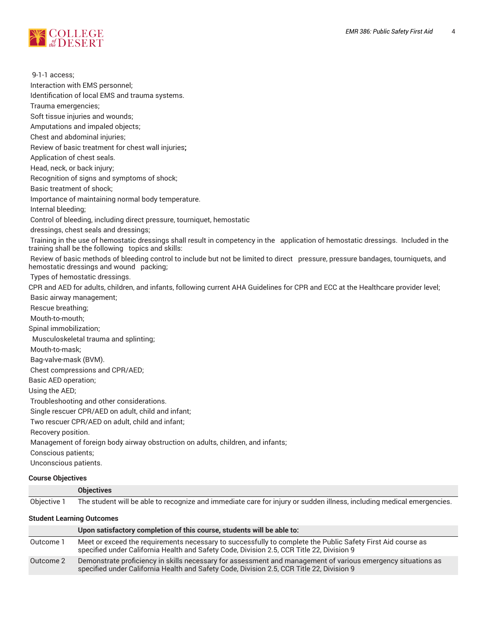

 9-1-1 access; Interaction with EMS personnel; Identification of local EMS and trauma systems. Trauma emergencies; Soft tissue injuries and wounds; Amputations and impaled objects; Chest and abdominal injuries; Review of basic treatment for chest wall injuries**;** Application of chest seals. Head, neck, or back injury; Recognition of signs and symptoms of shock; Basic treatment of shock; Importance of maintaining normal body temperature. Internal bleeding; Control of bleeding, including direct pressure, tourniquet, hemostatic dressings, chest seals and dressings; Training in the use of hemostatic dressings shall result in competency in the application of hemostatic dressings. Included in the training shall be the following topics and skills: Review of basic methods of bleeding control to include but not be limited to direct pressure, pressure bandages, tourniquets, and hemostatic dressings and wound packing; Types of hemostatic dressings. CPR and AED for adults, children, and infants, following current AHA Guidelines for CPR and ECC at the Healthcare provider level; Basic airway management; Rescue breathing; Mouth-to-mouth; Spinal immobilization; Musculoskeletal trauma and splinting; Mouth-to-mask; Bag-valve-mask (BVM). Chest compressions and CPR/AED; Basic AED operation; Using the AED; Troubleshooting and other considerations. Single rescuer CPR/AED on adult, child and infant; Two rescuer CPR/AED on adult, child and infant; Recovery position. Management of foreign body airway obstruction on adults, children, and infants; Conscious patients; Unconscious patients. **Course Objectives**

#### Objective 1 The student will be able to recognize and immediate care for injury or sudden illness, including medical emergencies.

**Objectives**

**Student Learning Outcomes**

|           | Upon satisfactory completion of this course, students will be able to:                                                                                                                                    |
|-----------|-----------------------------------------------------------------------------------------------------------------------------------------------------------------------------------------------------------|
| Outcome 1 | Meet or exceed the requirements necessary to successfully to complete the Public Safety First Aid course as<br>specified under California Health and Safety Code, Division 2.5, CCR Title 22, Division 9  |
| Outcome 2 | Demonstrate proficiency in skills necessary for assessment and management of various emergency situations as<br>specified under California Health and Safety Code, Division 2.5, CCR Title 22, Division 9 |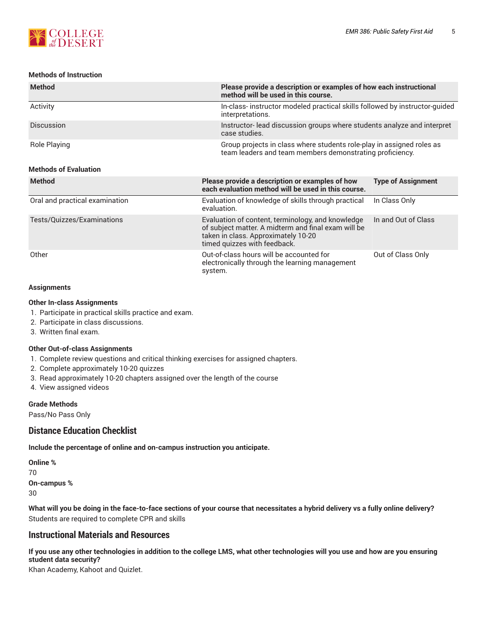

#### **Methods of Instruction**

| <b>Method</b>     | Please provide a description or examples of how each instructional<br>method will be used in this course.                         |
|-------------------|-----------------------------------------------------------------------------------------------------------------------------------|
| Activity          | In-class-instructor modeled practical skills followed by instructor-guided<br>interpretations.                                    |
| <b>Discussion</b> | Instructor-lead discussion groups where students analyze and interpret<br>case studies.                                           |
| Role Playing      | Group projects in class where students role-play in assigned roles as<br>team leaders and team members demonstrating proficiency. |

#### **Methods of Evaluation**

| <b>Method</b>                  | Please provide a description or examples of how<br>each evaluation method will be used in this course.                                                                          | <b>Type of Assignment</b> |
|--------------------------------|---------------------------------------------------------------------------------------------------------------------------------------------------------------------------------|---------------------------|
| Oral and practical examination | Evaluation of knowledge of skills through practical<br>evaluation.                                                                                                              | In Class Only             |
| Tests/Quizzes/Examinations     | Evaluation of content, terminology, and knowledge<br>of subject matter. A midterm and final exam will be<br>taken in class. Approximately 10-20<br>timed quizzes with feedback. | In and Out of Class       |
| Other                          | Out-of-class hours will be accounted for<br>electronically through the learning management<br>system.                                                                           | Out of Class Only         |

#### **Assignments**

#### **Other In-class Assignments**

- 1. Participate in practical skills practice and exam.
- 2. Participate in class discussions.
- 3. Written final exam.

#### **Other Out-of-class Assignments**

- 1. Complete review questions and critical thinking exercises for assigned chapters.
- 2. Complete approximately 10-20 quizzes
- 3. Read approximately 10-20 chapters assigned over the length of the course
- 4. View assigned videos

#### **Grade Methods**

Pass/No Pass Only

# **Distance Education Checklist**

**Include the percentage of online and on-campus instruction you anticipate.**

**Online %** 70 **On-campus %** 30

What will you be doing in the face-to-face sections of your course that necessitates a hybrid delivery vs a fully online delivery? Students are required to complete CPR and skills

# **Instructional Materials and Resources**

If you use any other technologies in addition to the college LMS, what other technologies will you use and how are you ensuring **student data security?**

Khan Academy, Kahoot and Quizlet.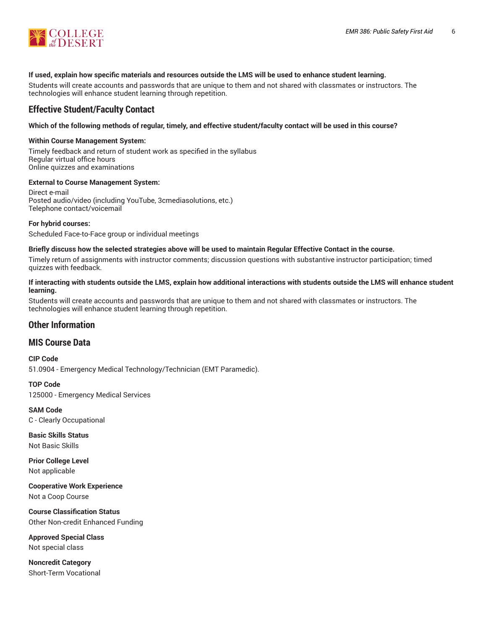

#### **If used, explain how specific materials and resources outside the LMS will be used to enhance student learning.**

Students will create accounts and passwords that are unique to them and not shared with classmates or instructors. The technologies will enhance student learning through repetition.

# **Effective Student/Faculty Contact**

#### Which of the following methods of regular, timely, and effective student/faculty contact will be used in this course?

#### **Within Course Management System:**

Timely feedback and return of student work as specified in the syllabus Regular virtual office hours Online quizzes and examinations

#### **External to Course Management System:**

Direct e-mail Posted audio/video (including YouTube, 3cmediasolutions, etc.) Telephone contact/voicemail

#### **For hybrid courses:**

Scheduled Face-to-Face group or individual meetings

#### Briefly discuss how the selected strategies above will be used to maintain Regular Effective Contact in the course.

Timely return of assignments with instructor comments; discussion questions with substantive instructor participation; timed quizzes with feedback.

#### **If interacting with students outside the LMS, explain how additional interactions with students outside the LMS will enhance student learning.**

Students will create accounts and passwords that are unique to them and not shared with classmates or instructors. The technologies will enhance student learning through repetition.

# **Other Information**

#### **MIS Course Data**

**CIP Code** 51.0904 - Emergency Medical Technology/Technician (EMT Paramedic).

**TOP Code** 125000 - Emergency Medical Services

**SAM Code** C - Clearly Occupational

**Basic Skills Status** Not Basic Skills

**Prior College Level** Not applicable

**Cooperative Work Experience** Not a Coop Course

**Course Classification Status** Other Non-credit Enhanced Funding

**Approved Special Class** Not special class

**Noncredit Category** Short-Term Vocational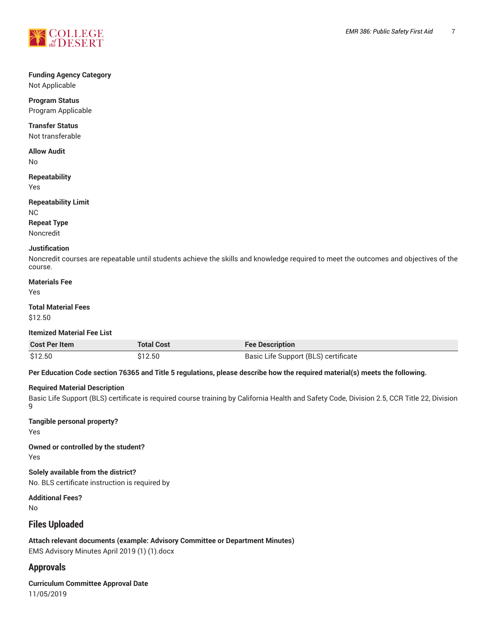

# **Funding Agency Category**

Not Applicable

**Program Status** Program Applicable

## **Transfer Status**

Not transferable

# **Allow Audit**

No

# **Repeatability**

Yes

#### **Repeatability Limit**

NC

# **Repeat Type**

Noncredit

# **Justification**

Noncredit courses are repeatable until students achieve the skills and knowledge required to meet the outcomes and objectives of the course.

# **Materials Fee**

Yes

# **Total Material Fees**

\$12.50

#### **Itemized Material Fee List**

| <b>Cost Per Item</b> | <b>Total Cost</b> | <b>Fee Description</b>               |
|----------------------|-------------------|--------------------------------------|
| \$12.50              | \$12.50           | Basic Life Support (BLS) certificate |

#### Per Education Code section 76365 and Title 5 regulations, please describe how the required material(s) meets the following.

#### **Required Material Description**

Basic Life Support (BLS) certificate is required course training by California Health and Safety Code, Division 2.5, CCR Title 22, Division 9

#### **Tangible personal property?**

Yes

**Owned or controlled by the student?** Yes

**Solely available from the district?**

No. BLS certificate instruction is required by

**Additional Fees?**

No

# **Files Uploaded**

**Attach relevant documents (example: Advisory Committee or Department Minutes)** EMS Advisory Minutes April 2019 (1) (1).docx

# **Approvals**

**Curriculum Committee Approval Date** 11/05/2019